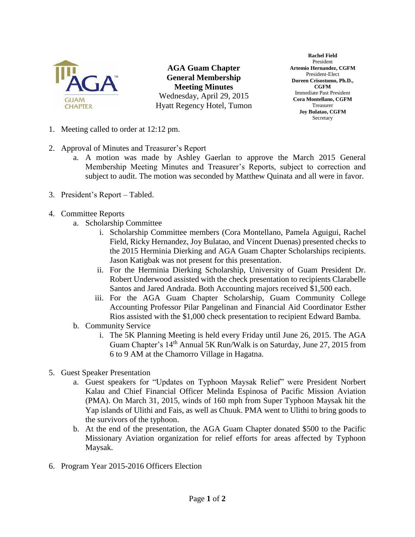

**AGA Guam Chapter General Membership Meeting Minutes** Wednesday, April 29, 2015 Hyatt Regency Hotel, Tumon

**Rachel Field** President **Artemio Hernandez, CGFM** President-Elect **Doreen Crisostomo, Ph.D., CGFM** Immediate Past President **Cora Montellano, CGFM** Treasurer **Joy Bulatao, CGFM** Secretary

- 1. Meeting called to order at 12:12 pm.
- 2. Approval of Minutes and Treasurer's Report
	- a. A motion was made by Ashley Gaerlan to approve the March 2015 General Membership Meeting Minutes and Treasurer's Reports, subject to correction and subject to audit. The motion was seconded by Matthew Quinata and all were in favor.
- 3. President's Report Tabled.
- 4. Committee Reports
	- a. Scholarship Committee
		- i. Scholarship Committee members (Cora Montellano, Pamela Aguigui, Rachel Field, Ricky Hernandez, Joy Bulatao, and Vincent Duenas) presented checks to the 2015 Herminia Dierking and AGA Guam Chapter Scholarships recipients. Jason Katigbak was not present for this presentation.
		- ii. For the Herminia Dierking Scholarship, University of Guam President Dr. Robert Underwood assisted with the check presentation to recipients Clarabelle Santos and Jared Andrada. Both Accounting majors received \$1,500 each.
		- iii. For the AGA Guam Chapter Scholarship, Guam Community College Accounting Professor Pilar Pangelinan and Financial Aid Coordinator Esther Rios assisted with the \$1,000 check presentation to recipient Edward Bamba.
	- b. Community Service
		- i. The 5K Planning Meeting is held every Friday until June 26, 2015. The AGA Guam Chapter's 14<sup>th</sup> Annual 5K Run/Walk is on Saturday, June 27, 2015 from 6 to 9 AM at the Chamorro Village in Hagatna.
- 5. Guest Speaker Presentation
	- a. Guest speakers for "Updates on Typhoon Maysak Relief" were President Norbert Kalau and Chief Financial Officer Melinda Espinosa of Pacific Mission Aviation (PMA). On March 31, 2015, winds of 160 mph from Super Typhoon Maysak hit the Yap islands of Ulithi and Fais, as well as Chuuk. PMA went to Ulithi to bring goods to the survivors of the typhoon.
	- b. At the end of the presentation, the AGA Guam Chapter donated \$500 to the Pacific Missionary Aviation organization for relief efforts for areas affected by Typhoon Maysak.
- 6. Program Year 2015-2016 Officers Election